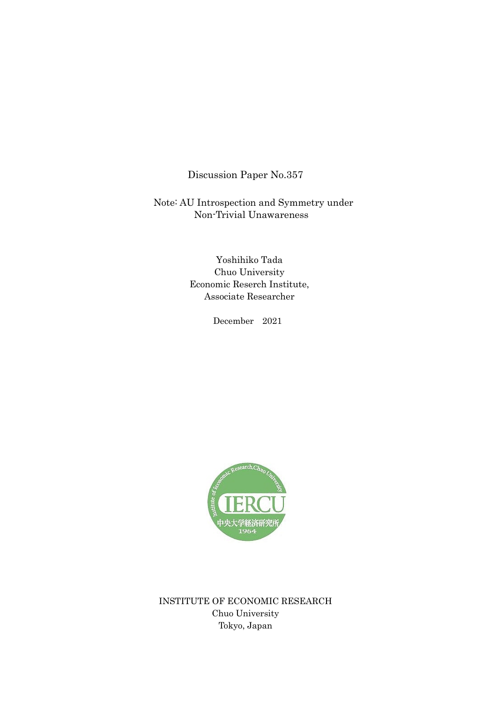Discussion Paper No.357

Note: AU Introspection and Symmetry under Non-Trivial Unawareness

> Yoshihiko Tada Chuo University Economic Reserch Institute, Associate Researcher

> > December 2021



INSTITUTE OF ECONOMIC RESEARCH Chuo University Tokyo, Japan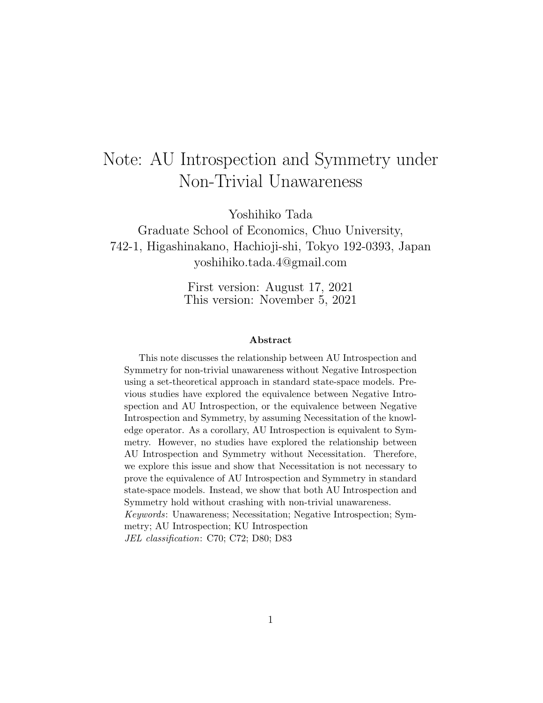# Note: AU Introspection and Symmetry under Non-Trivial Unawareness

Yoshihiko Tada

Graduate School of Economics, Chuo University, 742-1, Higashinakano, Hachioji-shi, Tokyo 192-0393, Japan yoshihiko.tada.4@gmail.com

> First version: August 17, 2021 This version: November 5, 2021

#### **Abstract**

This note discusses the relationship between AU Introspection and Symmetry for non-trivial unawareness without Negative Introspection using a set-theoretical approach in standard state-space models. Previous studies have explored the equivalence between Negative Introspection and AU Introspection, or the equivalence between Negative Introspection and Symmetry, by assuming Necessitation of the knowledge operator. As a corollary, AU Introspection is equivalent to Symmetry. However, no studies have explored the relationship between AU Introspection and Symmetry without Necessitation. Therefore, we explore this issue and show that Necessitation is not necessary to prove the equivalence of AU Introspection and Symmetry in standard state-space models. Instead, we show that both AU Introspection and Symmetry hold without crashing with non-trivial unawareness. *Keywords*: Unawareness; Necessitation; Negative Introspection; Symmetry; AU Introspection; KU Introspection *JEL classification*: C70; C72; D80; D83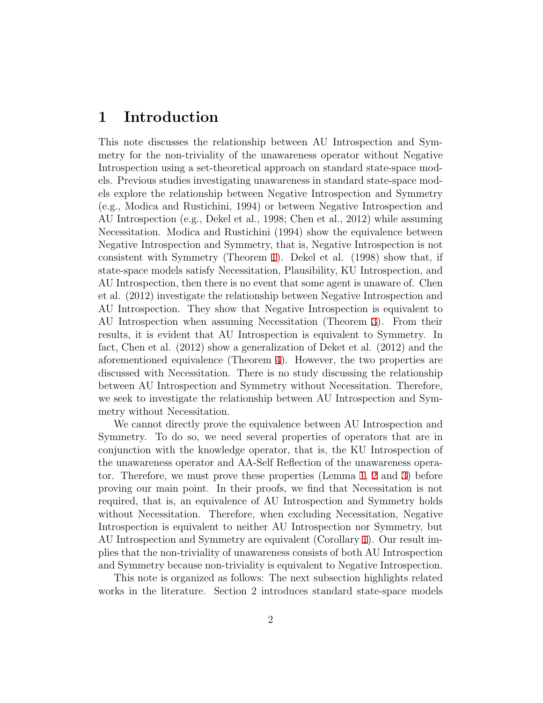### **1 Introduction**

This note discusses the relationship between AU Introspection and Symmetry for the non-triviality of the unawareness operator without Negative Introspection using a set-theoretical approach on standard state-space models. Previous studies investigating unawareness in standard state-space models explore the relationship between Negative Introspection and Symmetry (e.g., Modica and Rustichini, 1994) or between Negative Introspection and AU Introspection (e.g., Dekel et al., 1998; Chen et al., 2012) while assuming Necessitation. Modica and Rustichini (1994) show the equivalence between Negative Introspection and Symmetry, that is, Negative Introspection is not consistent with Symmetry (Theorem [1\)](#page-5-0). Dekel et al. (1998) show that, if state-space models satisfy Necessitation, Plausibility, KU Introspection, and AU Introspection, then there is no event that some agent is unaware of. Chen et al. (2012) investigate the relationship between Negative Introspection and AU Introspection. They show that Negative Introspection is equivalent to AU Introspection when assuming Necessitation (Theorem [3](#page-5-1)). From their results, it is evident that AU Introspection is equivalent to Symmetry. In fact, Chen et al. (2012) show a generalization of Deket et al. (2012) and the aforementioned equivalence (Theorem [4\)](#page-5-2). However, the two properties are discussed with Necessitation. There is no study discussing the relationship between AU Introspection and Symmetry without Necessitation. Therefore, we seek to investigate the relationship between AU Introspection and Symmetry without Necessitation.

We cannot directly prove the equivalence between AU Introspection and Symmetry. To do so, we need several properties of operators that are in conjunction with the knowledge operator, that is, the KU Introspection of the unawareness operator and AA-Self Reflection of the unawareness operator. Therefore, we must prove these properties (Lemma [1,](#page-6-0) [2](#page-6-1) and [3](#page-7-0)) before proving our main point. In their proofs, we find that Necessitation is not required, that is, an equivalence of AU Introspection and Symmetry holds without Necessitation. Therefore, when excluding Necessitation, Negative Introspection is equivalent to neither AU Introspection nor Symmetry, but AU Introspection and Symmetry are equivalent (Corollary [1\)](#page-8-0). Our result implies that the non-triviality of unawareness consists of both AU Introspection and Symmetry because non-triviality is equivalent to Negative Introspection.

This note is organized as follows: The next subsection highlights related works in the literature. Section 2 introduces standard state-space models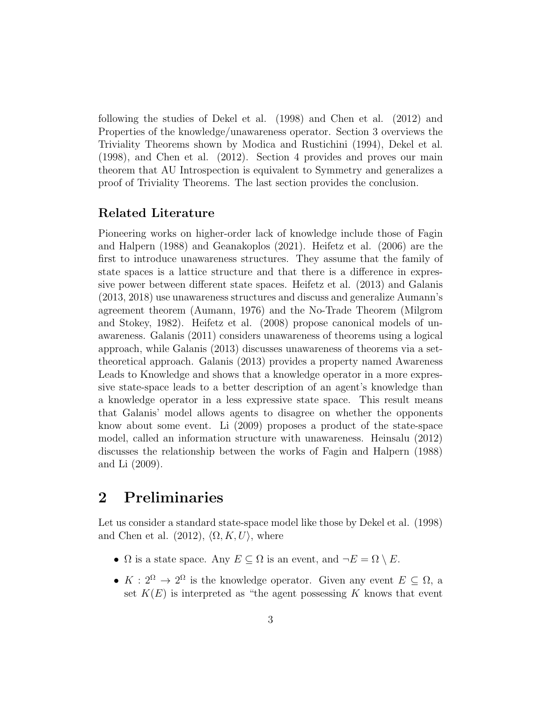following the studies of Dekel et al. (1998) and Chen et al. (2012) and Properties of the knowledge/unawareness operator. Section 3 overviews the Triviality Theorems shown by Modica and Rustichini (1994), Dekel et al. (1998), and Chen et al. (2012). Section 4 provides and proves our main theorem that AU Introspection is equivalent to Symmetry and generalizes a proof of Triviality Theorems. The last section provides the conclusion.

#### **Related Literature**

Pioneering works on higher-order lack of knowledge include those of Fagin and Halpern (1988) and Geanakoplos (2021). Heifetz et al. (2006) are the first to introduce unawareness structures. They assume that the family of state spaces is a lattice structure and that there is a difference in expressive power between different state spaces. Heifetz et al. (2013) and Galanis (2013, 2018) use unawareness structures and discuss and generalize Aumann's agreement theorem (Aumann, 1976) and the No-Trade Theorem (Milgrom and Stokey, 1982). Heifetz et al. (2008) propose canonical models of unawareness. Galanis (2011) considers unawareness of theorems using a logical approach, while Galanis (2013) discusses unawareness of theorems via a settheoretical approach. Galanis (2013) provides a property named Awareness Leads to Knowledge and shows that a knowledge operator in a more expressive state-space leads to a better description of an agent's knowledge than a knowledge operator in a less expressive state space. This result means that Galanis' model allows agents to disagree on whether the opponents know about some event. Li (2009) proposes a product of the state-space model, called an information structure with unawareness. Heinsalu (2012) discusses the relationship between the works of Fagin and Halpern (1988) and Li (2009).

## **2 Preliminaries**

Let us consider a standard state-space model like those by Dekel et al. (1998) and Chen et al.  $(2012)$ ,  $\langle \Omega, K, U \rangle$ , where

- $\Omega$  is a state space. Any  $E \subseteq \Omega$  is an event, and  $\neg E = \Omega \setminus E$ .
- $K: 2^{\Omega} \to 2^{\Omega}$  is the knowledge operator. Given any event  $E \subseteq \Omega$ , a set  $K(E)$  is interpreted as "the agent possessing  $K$  knows that event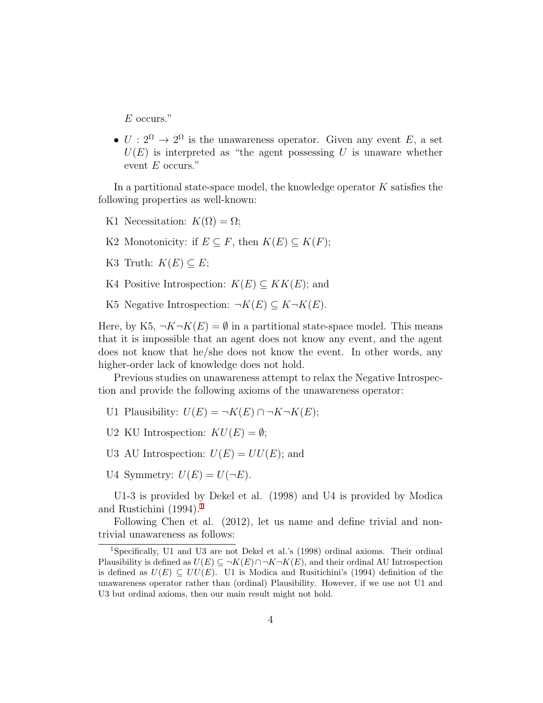*E* occurs."

•  $U: 2^{\Omega} \to 2^{\Omega}$  is the unawareness operator. Given any event *E*, a set  $U(E)$  is interpreted as "the agent possessing *U* is unaware whether event *E* occurs."

In a partitional state-space model, the knowledge operator *K* satisfies the following properties as well-known:

- K1 Necessitation:  $K(\Omega) = \Omega$ ;
- K2 Monotonicity: if  $E \subseteq F$ , then  $K(E) \subseteq K(F)$ ;
- K3 Truth:  $K(E) \subseteq E$ ;
- K4 Positive Introspection:  $K(E) \subseteq KK(E)$ ; and
- K5 Negative Introspection:  $\neg K(E) \subseteq K \neg K(E)$ .

Here, by K5,  $\neg K\neg K(E) = \emptyset$  in a partitional state-space model. This means that it is impossible that an agent does not know any event, and the agent does not know that he/she does not know the event. In other words, any higher-order lack of knowledge does not hold.

Previous studies on unawareness attempt to relax the Negative Introspection and provide the following axioms of the unawareness operator:

- U1 Plausibility:  $U(E) = \neg K(E) \cap \neg K \neg K(E)$ ;
- U2 KU Introspection:  $KU(E) = \emptyset$ ;
- U3 AU Introspection:  $U(E) = UU(E)$ ; and
- U4 Symmetry:  $U(E) = U(\neg E)$ .

U1-3 is provided by Dekel et al. (1998) and U4 is provided by Modica and Rustichini  $(1994).<sup>1</sup>$  $(1994).<sup>1</sup>$  $(1994).<sup>1</sup>$ 

Following Chen et al. (2012), let us name and define trivial and nontrivial unawareness as follows:

<span id="page-4-0"></span><sup>1</sup>Specifically, U1 and U3 are not Dekel et al.'s (1998) ordinal axioms. Their ordinal Plausibility is defined as  $U(E) \subseteq \neg K(E) \cap \neg K \neg K(E)$ , and their ordinal AU Introspection is defined as  $U(E) \subseteq UU(E)$ . U1 is Modica and Rusitichini's (1994) definition of the unawareness operator rather than (ordinal) Plausibility. However, if we use not U1 and U3 but ordinal axioms, then our main result might not hold.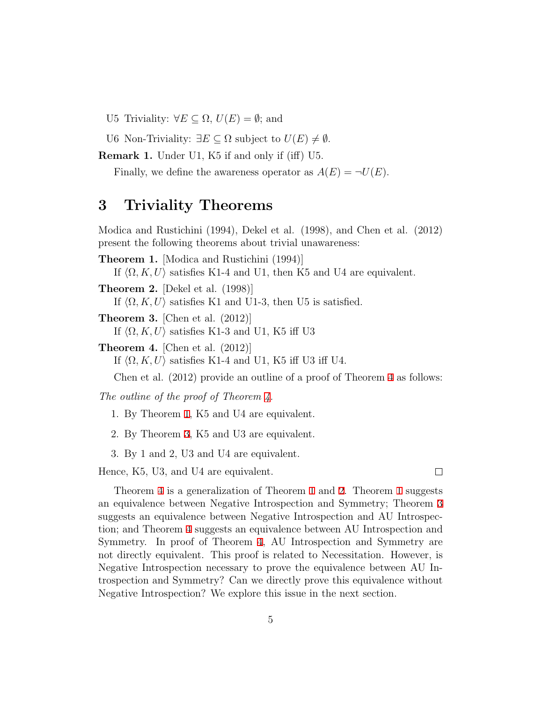- U5 Triviality:  $∀E ⊆ Ω, U(E) = ∅$ ; and
- U6 Non-Triviality:  $∃E ⊆ Ω$  subject to  $U(E) ≠ ∅$ .

<span id="page-5-4"></span>**Remark 1.** Under U1, K5 if and only if (iff) U5.

Finally, we define the awareness operator as  $A(E) = \neg U(E)$ .

### **3 Triviality Theorems**

Modica and Rustichini (1994), Dekel et al. (1998), and Chen et al. (2012) present the following theorems about trivial unawareness:

<span id="page-5-0"></span>**Theorem 1.** [Modica and Rustichini (1994)] If  $\langle \Omega, K, U \rangle$  satisfies K1-4 and U1, then K5 and U4 are equivalent.

<span id="page-5-3"></span>**Theorem 2.** [Dekel et al. (1998)]

If  $\langle \Omega, K, U \rangle$  satisfies K1 and U1-3, then U5 is satisfied.

<span id="page-5-1"></span>**Theorem 3.** [Chen et al. (2012)]

If  $\langle \Omega, K, U \rangle$  satisfies K1-3 and U1, K5 iff U3

<span id="page-5-2"></span>**Theorem 4.** [Chen et al. (2012)]

If  $\langle \Omega, K, U \rangle$  satisfies K1-4 and U1, K5 iff U3 iff U4.

Chen et al. (2012) provide an outline of a proof of Theorem [4](#page-5-2) as follows:

*The outline of the proof of Theorem [4.](#page-5-2)*

- 1. By Theorem [1,](#page-5-0) K5 and U4 are equivalent.
- 2. By Theorem [3,](#page-5-1) K5 and U3 are equivalent.
- 3. By 1 and 2, U3 and U4 are equivalent.

Hence, K5, U3, and U4 are equivalent.

Theorem [4](#page-5-2) is a generalization of Theorem [1](#page-5-0) and [2](#page-5-3). Theorem [1](#page-5-0) suggests an equivalence between Negative Introspection and Symmetry; Theorem [3](#page-5-1) suggests an equivalence between Negative Introspection and AU Introspection; and Theorem [4](#page-5-2) suggests an equivalence between AU Introspection and Symmetry. In proof of Theorem [4](#page-5-2), AU Introspection and Symmetry are not directly equivalent. This proof is related to Necessitation. However, is Negative Introspection necessary to prove the equivalence between AU Introspection and Symmetry? Can we directly prove this equivalence without Negative Introspection? We explore this issue in the next section.

 $\Box$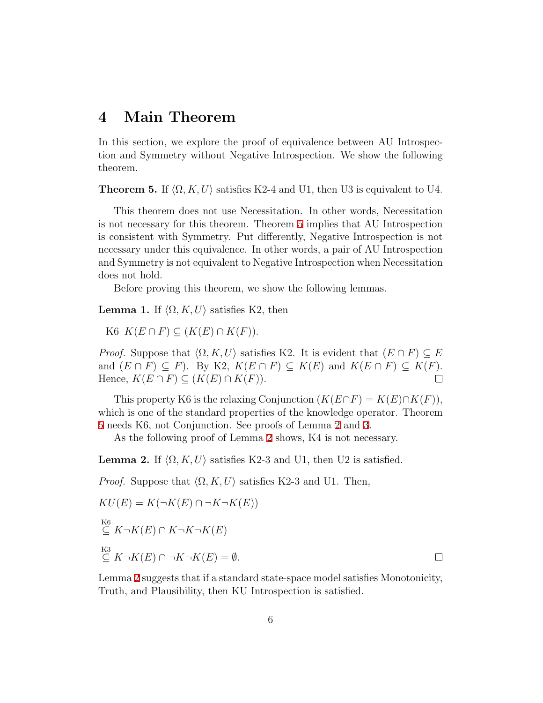### **4 Main Theorem**

In this section, we explore the proof of equivalence between AU Introspection and Symmetry without Negative Introspection. We show the following theorem.

<span id="page-6-2"></span>**Theorem 5.** If  $\langle \Omega, K, U \rangle$  satisfies K2-4 and U1, then U3 is equivalent to U4.

This theorem does not use Necessitation. In other words, Necessitation is not necessary for this theorem. Theorem [5](#page-6-2) implies that AU Introspection is consistent with Symmetry. Put differently, Negative Introspection is not necessary under this equivalence. In other words, a pair of AU Introspection and Symmetry is not equivalent to Negative Introspection when Necessitation does not hold.

Before proving this theorem, we show the following lemmas.

<span id="page-6-0"></span>**Lemma 1.** If  $\langle \Omega, K, U \rangle$  satisfies K2, then

 $K6$   $K(E \cap F) \subseteq (K(E) \cap K(F)).$ 

*Proof.* Suppose that  $\langle \Omega, K, U \rangle$  satisfies K2. It is evident that  $(E \cap F) \subseteq E$ and  $(E \cap F) \subseteq F$ ). By K2,  $K(E \cap F) \subseteq K(E)$  and  $K(E \cap F) \subseteq K(F)$ .<br>Hence,  $K(E \cap F) \subseteq (K(E) \cap K(F))$ .  $Hence, K(E \cap F) \subseteq (K(E) \cap K(F)).$ 

This property K6 is the relaxing Conjunction  $(K(E \cap F) = K(E) \cap K(F))$ , which is one of the standard properties of the knowledge operator. Theorem [5](#page-6-2) needs K6, not Conjunction. See proofs of Lemma [2](#page-6-1) and [3](#page-7-0).

As the following proof of Lemma [2](#page-6-1) shows, K4 is not necessary.

<span id="page-6-1"></span>**Lemma 2.** If  $\langle \Omega, K, U \rangle$  satisfies K2-3 and U1, then U2 is satisfied.

*Proof.* Suppose that  $\langle \Omega, K, U \rangle$  satisfies K2-3 and U1. Then,

$$
KU(E) = K(\neg K(E) \cap \neg K \neg K(E))
$$
  
\n
$$
\stackrel{\text{KG}}{\subseteq} K \neg K(E) \cap K \neg K \neg K(E)
$$
  
\n
$$
\stackrel{\text{K3}}{\subseteq} K \neg K(E) \cap \neg K \neg K(E) = \emptyset.
$$

Lemma [2](#page-6-1) suggests that if a standard state-space model satisfies Monotonicity, Truth, and Plausibility, then KU Introspection is satisfied.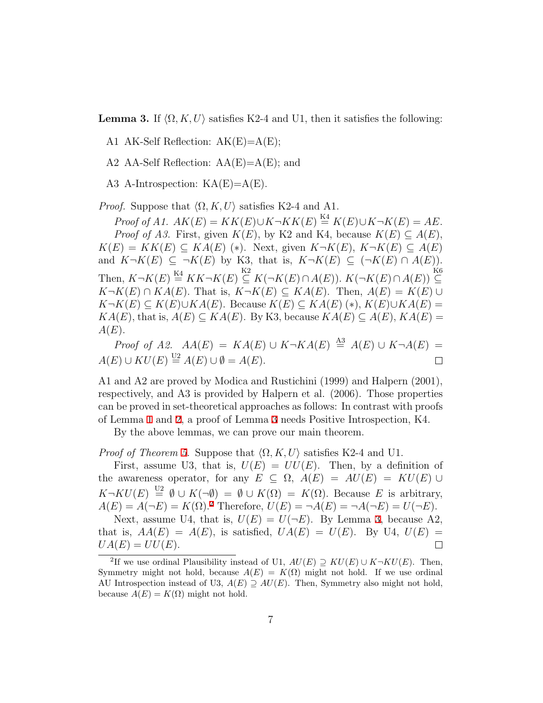<span id="page-7-0"></span>**Lemma 3.** If  $\langle \Omega, K, U \rangle$  satisfies K2-4 and U1, then it satisfies the following:

A1 AK-Self Reflection:  $AK(E)=A(E);$ 

A2 AA-Self Reflection:  $AA(E)=A(E)$ ; and

A3 A-Introspection:  $KA(E)=A(E)$ .

*Proof.* Suppose that  $\langle \Omega, K, U \rangle$  satisfies K2-4 and A1.

 $Proof of A1. \ AK(E) = KK(E) \cup K \rightarrow KK(E) \stackrel{\text{K4}}{=} K(E) \cup K \rightarrow K(E) = AE.$ *Proof of A3.* First, given  $K(E)$ , by K2 and K4, because  $K(E) \subseteq A(E)$ . *K*(*E*) = *KK*(*E*) ⊆ *KA*(*E*) (\*). Next, given *K* $\neg K(E)$ , *K* $\neg K(E)$  ⊆ *A*(*E*) and  $K\neg K(E) \subseteq \neg K(E)$  by K3, that is,  $K\neg K(E) \subseteq (\neg K(E) \cap A(E)).$ Then,  $K \neg K(E) \stackrel{\text{K4}}{=} KK \neg K(E) \stackrel{\text{K2}}{\subseteq} K(\neg K(E) \cap A(E))$ *.*  $K(\neg K(E) \cap A(E)) \stackrel{\text{K6}}{\subseteq}$ *⊆*  $K\neg K(E) \cap KA(E)$ . That is,  $K\neg K(E) \subseteq KA(E)$ . Then,  $A(E) = K(E) \cup$ *K*  $\neg K(E)$   $\subseteq$  *K*(*E*)*∪KA*(*E*). Because *K*(*E*)  $\subseteq$  *KA*(*E*) (\*), *K*(*E*)*∪KA*(*E*) =  $KA(E)$ , that is,  $A(E) \subseteq KA(E)$ . By K3, because  $KA(E) \subseteq A(E)$ ,  $KA(E)$ *A*(*E*).

*Proof of A2.*  $AA(E) = KA(E) \cup K \neg KA(E) \stackrel{\text{A3}}{=} A(E) \cup K \neg A(E) =$  $A(E) \cup KU(E) \stackrel{\text{U2}}{=} A(E) \cup \emptyset = A(E).$  $\Box$ 

A1 and A2 are proved by Modica and Rustichini (1999) and Halpern (2001), respectively, and A3 is provided by Halpern et al. (2006). Those properties can be proved in set-theoretical approaches as follows: In contrast with proofs of Lemma [1](#page-6-0) and [2](#page-6-1), a proof of Lemma [3](#page-7-0) needs Positive Introspection, K4.

By the above lemmas, we can prove our main theorem.

*Proof of Theorem [5.](#page-6-2)* Suppose that  $\langle \Omega, K, U \rangle$  satisfies K2-4 and U1.

First, assume U3, that is,  $U(E) = UU(E)$ . Then, by a definition of the awareness operator, for any  $E \subseteq \Omega$ ,  $A(E) = AU(E) = KU(E) \cup$  $K\neg KU(E) \stackrel{U2}{=} \emptyset \cup K(\neg \emptyset) = \emptyset \cup K(\Omega) = K(\Omega)$ . Because *E* is arbitrary,  $A(E) = A(\neg E) = K(\Omega).^{2}$  $A(E) = A(\neg E) = K(\Omega).^{2}$  $A(E) = A(\neg E) = K(\Omega).^{2}$  Therefore,  $U(E) = \neg A(E) = \neg A(\neg E) = U(\neg E).$ 

Next, assume U4, that is,  $U(E) = U(\neg E)$ . By Lemma [3](#page-7-0), because A2, that is,  $AA(E) = A(E)$ , is satisfied,  $UA(E) = U(E)$ . By U4,  $U(E) =$  $UA(E) = UU(E).$  $\Box$ 

<span id="page-7-1"></span><sup>&</sup>lt;sup>2</sup>If we use ordinal Plausibility instead of U1,  $AU(E) \supseteq KU(E) \cup K \neg KU(E)$ . Then, Symmetry might not hold, because  $A(E) = K(\Omega)$  might not hold. If we use ordinal AU Introspection instead of U3,  $A(E) \supseteq AU(E)$ . Then, Symmetry also might not hold, because  $A(E) = K(\Omega)$  might not hold.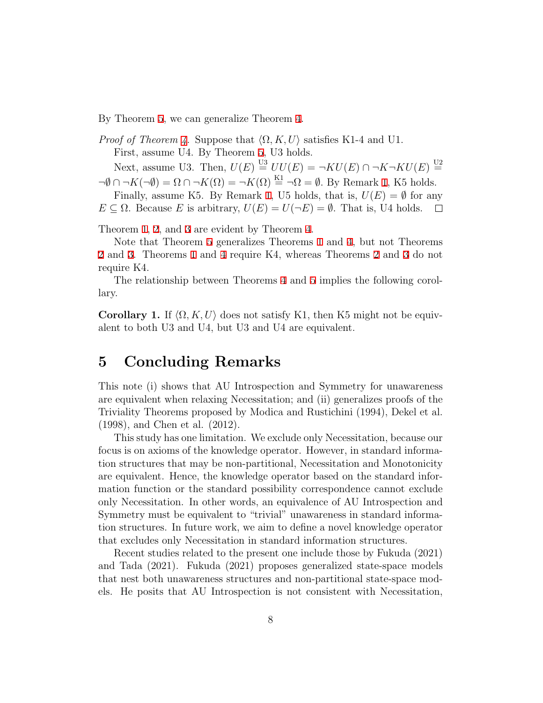By Theorem [5,](#page-6-2) we can generalize Theorem [4.](#page-5-2)

*Proof of Theorem [4.](#page-5-2)* Suppose that  $\langle \Omega, K, U \rangle$  satisfies K1-4 and U1. First, assume U4. By Theorem [5](#page-6-2), U3 holds. Next, assume U3. Then,  $U(E) \stackrel{\text{U3}}{=} UU(E) = \neg KU(E) \cap \neg K \neg KU(E) \stackrel{\text{U2}}{=}$ 

 $\neg \emptyset \cap \neg K(\neg \emptyset) = \Omega \cap \neg K(\Omega) = \neg K(\Omega) \stackrel{\text{K1}}{=} \neg \Omega = \emptyset$ . By Remark [1,](#page-5-4) K5 holds.

Finally, assume K5. By Remark [1,](#page-5-4) U5 holds, that is,  $U(E) = \emptyset$  for any  $E \subseteq \Omega$ . Because *E* is arbitrary,  $U(E) = U(\neg E) = \emptyset$ . That is, U4 holds.

Theorem [1](#page-5-0), [2](#page-5-3), and [3](#page-5-1) are evident by Theorem [4.](#page-5-2)

Note that Theorem [5](#page-6-2) generalizes Theorems [1](#page-5-0) and [4,](#page-5-2) but not Theorems [2](#page-5-3) and [3](#page-5-1). Theorems [1](#page-5-0) and [4](#page-5-2) require K4, whereas Theorems [2](#page-5-3) and [3](#page-5-1) do not require K4.

The relationship between Theorems [4](#page-5-2) and [5](#page-6-2) implies the following corollary.

<span id="page-8-0"></span>**Corollary 1.** If  $\langle \Omega, K, U \rangle$  does not satisfy K1, then K5 might not be equivalent to both U3 and U4, but U3 and U4 are equivalent.

## **5 Concluding Remarks**

This note (i) shows that AU Introspection and Symmetry for unawareness are equivalent when relaxing Necessitation; and (ii) generalizes proofs of the Triviality Theorems proposed by Modica and Rustichini (1994), Dekel et al. (1998), and Chen et al. (2012).

This study has one limitation. We exclude only Necessitation, because our focus is on axioms of the knowledge operator. However, in standard information structures that may be non-partitional, Necessitation and Monotonicity are equivalent. Hence, the knowledge operator based on the standard information function or the standard possibility correspondence cannot exclude only Necessitation. In other words, an equivalence of AU Introspection and Symmetry must be equivalent to "trivial" unawareness in standard information structures. In future work, we aim to define a novel knowledge operator that excludes only Necessitation in standard information structures.

Recent studies related to the present one include those by Fukuda (2021) and Tada (2021). Fukuda (2021) proposes generalized state-space models that nest both unawareness structures and non-partitional state-space models. He posits that AU Introspection is not consistent with Necessitation,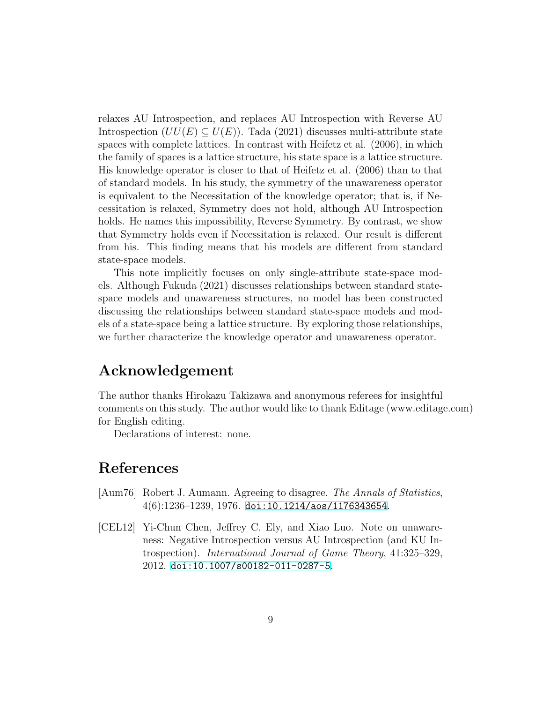relaxes AU Introspection, and replaces AU Introspection with Reverse AU Introspection  $(UU(E) \subseteq U(E))$ . Tada (2021) discusses multi-attribute state spaces with complete lattices. In contrast with Heifetz et al. (2006), in which the family of spaces is a lattice structure, his state space is a lattice structure. His knowledge operator is closer to that of Heifetz et al. (2006) than to that of standard models. In his study, the symmetry of the unawareness operator is equivalent to the Necessitation of the knowledge operator; that is, if Necessitation is relaxed, Symmetry does not hold, although AU Introspection holds. He names this impossibility, Reverse Symmetry. By contrast, we show that Symmetry holds even if Necessitation is relaxed. Our result is different from his. This finding means that his models are different from standard state-space models.

This note implicitly focuses on only single-attribute state-space models. Although Fukuda (2021) discusses relationships between standard statespace models and unawareness structures, no model has been constructed discussing the relationships between standard state-space models and models of a state-space being a lattice structure. By exploring those relationships, we further characterize the knowledge operator and unawareness operator.

## **Acknowledgement**

The author thanks Hirokazu Takizawa and anonymous referees for insightful comments on this study. The author would like to thank Editage (www.editage.com) for English editing.

Declarations of interest: none.

## **References**

- [Aum76] Robert J. Aumann. Agreeing to disagree. *The Annals of Statistics*,  $4(6):1236-1239, 1976.$  [doi:10.1214/aos/1176343654](http://dx.doi.org/10.1214/aos/1176343654).
- [CEL12] Yi-Chun Chen, Jeffrey C. Ely, and Xiao Luo. Note on unawareness: Negative Introspection versus AU Introspection (and KU Introspection). *International Journal of Game Theory*, 41:325–329, 2012. [doi:10.1007/s00182-011-0287-5](http://dx.doi.org/10.1007/s00182-011-0287-5).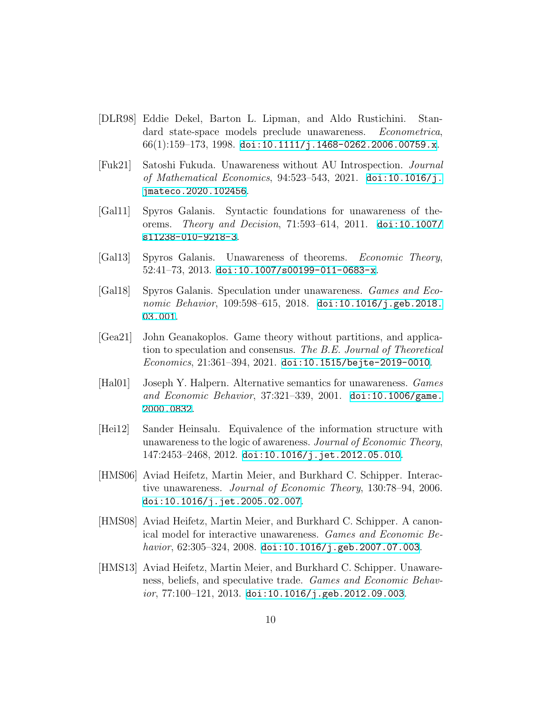- [DLR98] Eddie Dekel, Barton L. Lipman, and Aldo Rustichini. Standard state-space models preclude unawareness. *Econometrica*,  $66(1):159-173, 1998.$  [doi:10.1111/j.1468-0262.2006.00759.x](http://dx.doi.org/10.1111/j.1468-0262.2006.00759.x).
- [Fuk21] Satoshi Fukuda. Unawareness without AU Introspection. *Journal of Mathematical Economics*, 94:523–543, 2021. [doi:10.1016/j.](http://dx.doi.org/10.1016/j.jmateco.2020.102456) [jmateco.2020.102456](http://dx.doi.org/10.1016/j.jmateco.2020.102456).
- [Gal11] Spyros Galanis. Syntactic foundations for unawareness of theorems. *Theory and Decision*, 71:593–614, 2011. [doi:10.1007/](http://dx.doi.org/10.1007/s11238-010-9218-3) [s11238-010-9218-3](http://dx.doi.org/10.1007/s11238-010-9218-3).
- [Gal13] Spyros Galanis. Unawareness of theorems. *Economic Theory*, 52:41–73, 2013. [doi:10.1007/s00199-011-0683-x](http://dx.doi.org/10.1007/s00199-011-0683-x).
- [Gal18] Spyros Galanis. Speculation under unawareness. *Games and Economic Behavior*, 109:598–615, 2018. [doi:10.1016/j.geb.2018.](http://dx.doi.org/10.1016/j.geb.2018.03.001) [03.001](http://dx.doi.org/10.1016/j.geb.2018.03.001).
- [Gea21] John Geanakoplos. Game theory without partitions, and application to speculation and consensus. *The B.E. Journal of Theoretical Economics*, 21:361–394, 2021. [doi:10.1515/bejte-2019-0010](http://dx.doi.org/10.1515/bejte-2019-0010).
- [Hal01] Joseph Y. Halpern. Alternative semantics for unawareness. *Games and Economic Behavior*, 37:321–339, 2001. [doi:10.1006/game.](http://dx.doi.org/10.1006/game.2000.0832) [2000.0832](http://dx.doi.org/10.1006/game.2000.0832).
- [Hei12] Sander Heinsalu. Equivalence of the information structure with unawareness to the logic of awareness. *Journal of Economic Theory*, 147:2453–2468, 2012. [doi:10.1016/j.jet.2012.05.010](http://dx.doi.org/10.1016/j.jet.2012.05.010).
- [HMS06] Aviad Heifetz, Martin Meier, and Burkhard C. Schipper. Interactive unawareness. *Journal of Economic Theory*, 130:78–94, 2006. [doi:10.1016/j.jet.2005.02.007](http://dx.doi.org/10.1016/j.jet.2005.02.007).
- [HMS08] Aviad Heifetz, Martin Meier, and Burkhard C. Schipper. A canonical model for interactive unawareness. *Games and Economic Behavior*, 62:305–324, 2008. [doi:10.1016/j.geb.2007.07.003](http://dx.doi.org/10.1016/j.geb.2007.07.003).
- [HMS13] Aviad Heifetz, Martin Meier, and Burkhard C. Schipper. Unawareness, beliefs, and speculative trade. *Games and Economic Behavior*, 77:100–121, 2013. [doi:10.1016/j.geb.2012.09.003](http://dx.doi.org/10.1016/j.geb.2012.09.003).